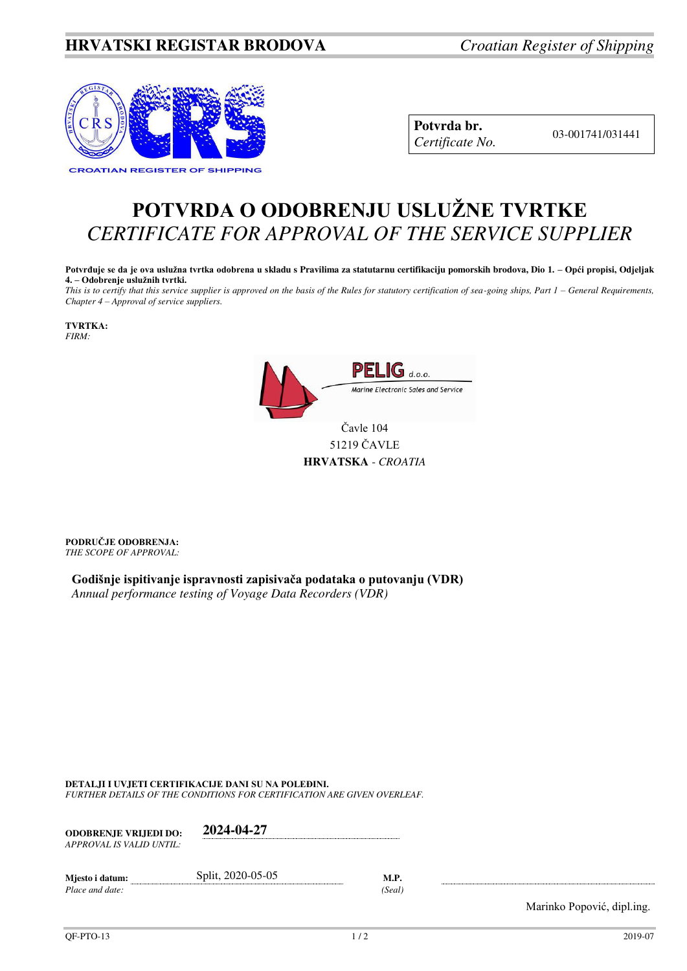## **HRVATSKI REGISTAR BRODOVA** *Croatian Register of Shipping*



**Potvrda br.**  03-001741/031441 *Certificate No.* 

## **POTVRDA O ODOBRENJU USLUŽNE TVRTKE** *CERTIFICATE FOR APPROVAL OF THE SERVICE SUPPLIER*

**Potvrđuje se da je ova uslužna tvrtka odobrena u skladu s Pravilima za statutarnu certifikaciju pomorskih brodova, Dio 1. – Opći propisi, Odjeljak 4. – Odobrenje uslužnih tvrtki.**

*This is to certify that this service supplier is approved on the basis of the Rules for statutory certification of sea-going ships, Part 1 – General Requirements, Chapter 4 – Approval of service suppliers.* 

**TVRTKA:** *FIRM:*

> $\mathbf G$  d.o.o. Marine Electronic Sales and Service Čavle 104

> > 51219 ČAVLE **HRVATSKA** - *CROATIA*

**PODRUČJE ODOBRENJA:** *THE SCOPE OF APPROVAL:* 

**Godišnje ispitivanje ispravnosti zapisivača podataka o putovanju (VDR)** *Annual performance testing of Voyage Data Recorders (VDR)*

**DETALJI I UVJETI CERTIFIKACIJE DANI SU NA POLEĐINI.**

*FURTHER DETAILS OF THE CONDITIONS FOR CERTIFICATION ARE GIVEN OVERLEAF.* 

| <b>ODOBRENJE VRLIEDI DO:</b><br>APPROVAL IS VALID UNTIL: | 2024-04-27        |        |
|----------------------------------------------------------|-------------------|--------|
| Mjesto i datum:                                          | Split, 2020-05-05 | M.P.   |
| Place and date:                                          |                   | (Seal) |

Marinko Popović, dipl.ing.